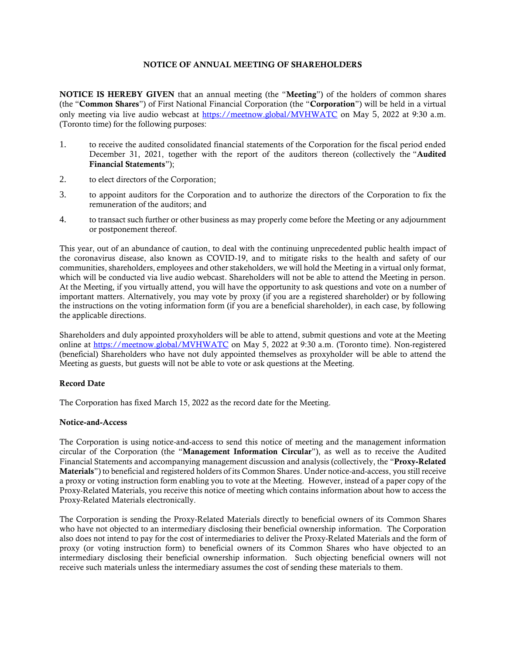# NOTICE OF ANNUAL MEETING OF SHAREHOLDERS

NOTICE IS HEREBY GIVEN that an annual meeting (the "Meeting") of the holders of common shares (the "Common Shares") of First National Financial Corporation (the "Corporation") will be held in a virtual only meeting via live audio webcast at <https://meetnow.global/MVHWATC> on May 5, 2022 at 9:30 a.m. (Toronto time) for the following purposes:

- 1. to receive the audited consolidated financial statements of the Corporation for the fiscal period ended December 31, 2021, together with the report of the auditors thereon (collectively the "Audited Financial Statements");
- 2. to elect directors of the Corporation;
- 3. to appoint auditors for the Corporation and to authorize the directors of the Corporation to fix the remuneration of the auditors; and
- 4. to transact such further or other business as may properly come before the Meeting or any adjournment or postponement thereof.

This year, out of an abundance of caution, to deal with the continuing unprecedented public health impact of the coronavirus disease, also known as COVID-19, and to mitigate risks to the health and safety of our communities, shareholders, employees and other stakeholders, we will hold the Meeting in a virtual only format, which will be conducted via live audio webcast. Shareholders will not be able to attend the Meeting in person. At the Meeting, if you virtually attend, you will have the opportunity to ask questions and vote on a number of important matters. Alternatively, you may vote by proxy (if you are a registered shareholder) or by following the instructions on the voting information form (if you are a beneficial shareholder), in each case, by following the applicable directions.

Shareholders and duly appointed proxyholders will be able to attend, submit questions and vote at the Meeting online at<https://meetnow.global/MVHWATC> on May 5, 2022 at 9:30 a.m. (Toronto time). Non-registered (beneficial) Shareholders who have not duly appointed themselves as proxyholder will be able to attend the Meeting as guests, but guests will not be able to vote or ask questions at the Meeting.

### Record Date

The Corporation has fixed March 15, 2022 as the record date for the Meeting.

### Notice-and-Access

The Corporation is using notice-and-access to send this notice of meeting and the management information circular of the Corporation (the "Management Information Circular"), as well as to receive the Audited Financial Statements and accompanying management discussion and analysis (collectively, the "Proxy-Related Materials") to beneficial and registered holders of its Common Shares. Under notice-and-access, you still receive a proxy or voting instruction form enabling you to vote at the Meeting. However, instead of a paper copy of the Proxy-Related Materials, you receive this notice of meeting which contains information about how to access the Proxy-Related Materials electronically.

The Corporation is sending the Proxy-Related Materials directly to beneficial owners of its Common Shares who have not objected to an intermediary disclosing their beneficial ownership information. The Corporation also does not intend to pay for the cost of intermediaries to deliver the Proxy-Related Materials and the form of proxy (or voting instruction form) to beneficial owners of its Common Shares who have objected to an intermediary disclosing their beneficial ownership information. Such objecting beneficial owners will not receive such materials unless the intermediary assumes the cost of sending these materials to them.